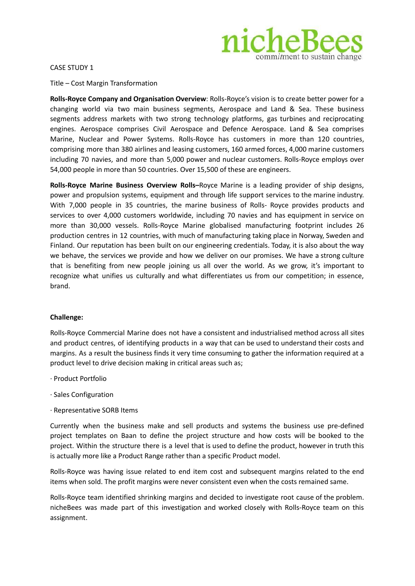

CASE STUDY 1

Title – Cost Margin Transformation

**Rolls-Royce Company and Organisation Overview**: Rolls-Royce's vision is to create better power for a changing world via two main business segments, Aerospace and Land & Sea. These business segments address markets with two strong technology platforms, gas turbines and reciprocating engines. Aerospace comprises Civil Aerospace and Defence Aerospace. Land & Sea comprises Marine, Nuclear and Power Systems. Rolls-Royce has customers in more than 120 countries, comprising more than 380 airlines and leasing customers, 160 armed forces, 4,000 marine customers including 70 navies, and more than 5,000 power and nuclear customers. Rolls-Royce employs over 54,000 people in more than 50 countries. Over 15,500 of these are engineers.

**Rolls-Royce Marine Business Overview Rolls–**Royce Marine is a leading provider of ship designs, power and propulsion systems, equipment and through life support services to the marine industry. With 7,000 people in 35 countries, the marine business of Rolls- Royce provides products and services to over 4,000 customers worldwide, including 70 navies and has equipment in service on more than 30,000 vessels. Rolls-Royce Marine globalised manufacturing footprint includes 26 production centres in 12 countries, with much of manufacturing taking place in Norway, Sweden and Finland. Our reputation has been built on our engineering credentials. Today, it is also about the way we behave, the services we provide and how we deliver on our promises. We have a strong culture that is benefiting from new people joining us all over the world. As we grow, it's important to recognize what unifies us culturally and what differentiates us from our competition; in essence, brand.

## **Challenge:**

Rolls-Royce Commercial Marine does not have a consistent and industrialised method across all sites and product centres, of identifying products in a way that can be used to understand their costs and margins. As a result the business finds it very time consuming to gather the information required at a product level to drive decision making in critical areas such as;

- ∙ Product Portfolio
- ∙ Sales Configuration
- ∙ Representative SORB Items

Currently when the business make and sell products and systems the business use pre-defined project templates on Baan to define the project structure and how costs will be booked to the project. Within the structure there is a level that is used to define the product, however in truth this is actually more like a Product Range rather than a specific Product model.

Rolls-Royce was having issue related to end item cost and subsequent margins related to the end items when sold. The profit margins were never consistent even when the costs remained same.

Rolls-Royce team identified shrinking margins and decided to investigate root cause of the problem. nicheBees was made part of this investigation and worked closely with Rolls-Royce team on this assignment.